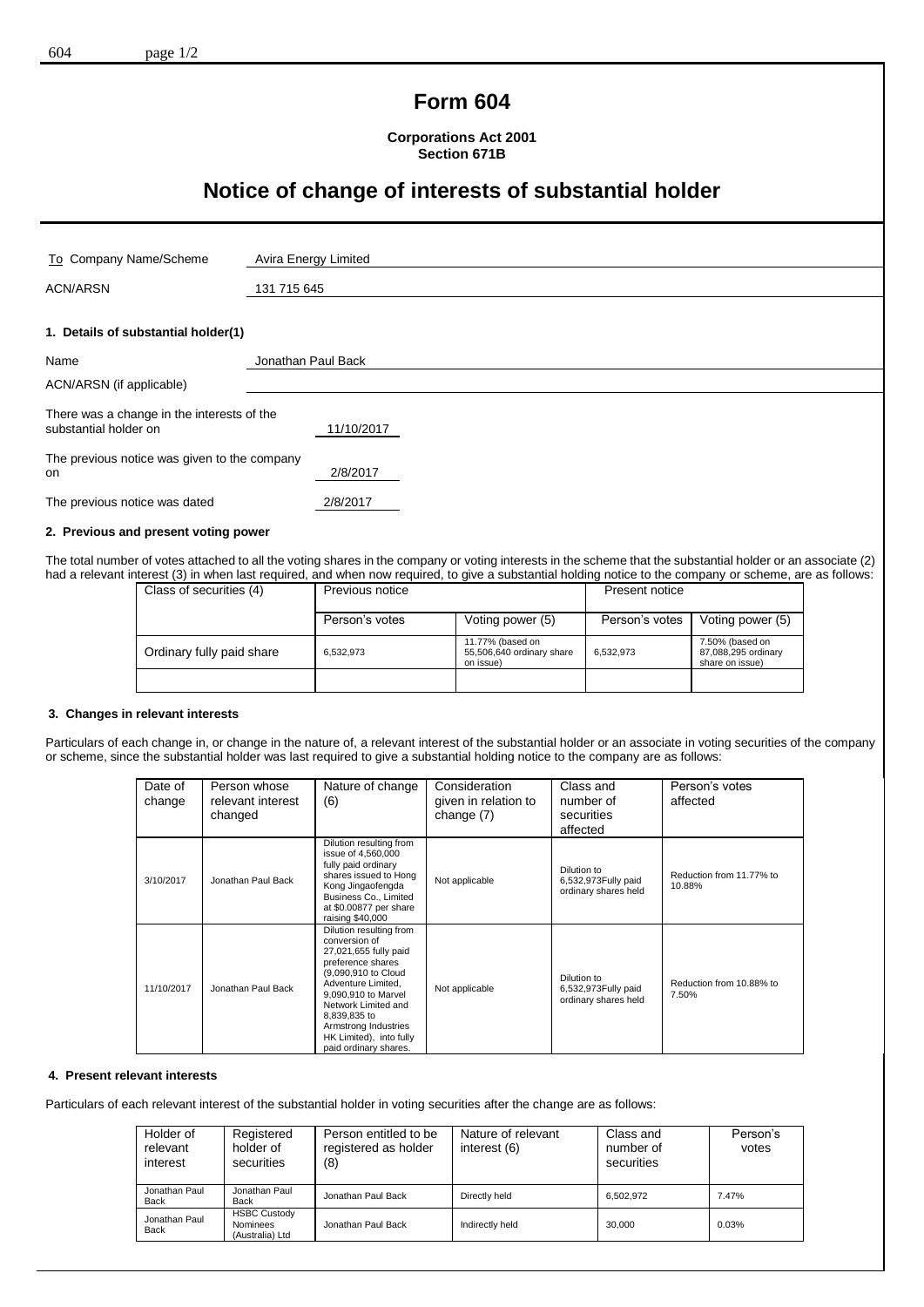## **Form 604**

**Corporations Act 2001 Section 671B**

# **Notice of change of interests of substantial holder**

| To Company Name/Scheme                                              | Avira Energy Limited |  |
|---------------------------------------------------------------------|----------------------|--|
| <b>ACN/ARSN</b>                                                     | 131 715 645          |  |
| 1. Details of substantial holder(1)                                 |                      |  |
| Name                                                                | Jonathan Paul Back   |  |
| ACN/ARSN (if applicable)                                            |                      |  |
| There was a change in the interests of the<br>substantial holder on | 11/10/2017           |  |
| The previous notice was given to the company<br><b>on</b>           | 2/8/2017             |  |
| The previous notice was dated                                       | 2/8/2017             |  |

### **2. Previous and present voting power**

The total number of votes attached to all the voting shares in the company or voting interests in the scheme that the substantial holder or an associate (2) had a relevant interest (3) in when last required, and when now required, to give a substantial holding notice to the company or scheme, are as follows:

| Class of securities (4)   | Previous notice |                                                            | Present notice |                                                           |
|---------------------------|-----------------|------------------------------------------------------------|----------------|-----------------------------------------------------------|
|                           | Person's votes  | Voting power (5)                                           | Person's votes | Voting power (5)                                          |
| Ordinary fully paid share | 6.532.973       | 11.77% (based on<br>55,506,640 ordinary share<br>on issue) | 6.532.973      | 7.50% (based on<br>87,088,295 ordinary<br>share on issue) |
|                           |                 |                                                            |                |                                                           |

#### **3. Changes in relevant interests**

Particulars of each change in, or change in the nature of, a relevant interest of the substantial holder or an associate in voting securities of the company or scheme, since the substantial holder was last required to give a substantial holding notice to the company are as follows:

| Date of<br>change | Person whose<br>relevant interest<br>changed | Nature of change<br>(6)                                                                                                                                                                                                                                                       | Consideration<br>given in relation to<br>change (7) | Class and<br>number of<br>securities<br>affected           | Person's votes<br>affected         |
|-------------------|----------------------------------------------|-------------------------------------------------------------------------------------------------------------------------------------------------------------------------------------------------------------------------------------------------------------------------------|-----------------------------------------------------|------------------------------------------------------------|------------------------------------|
| 3/10/2017         | Jonathan Paul Back                           | Dilution resulting from<br>issue of 4,560,000<br>fully paid ordinary<br>shares issued to Hong<br>Kong Jingaofengda<br>Business Co., Limited<br>at \$0.00877 per share<br>raising \$40,000                                                                                     | Not applicable                                      | Dilution to<br>6,532,973Fully paid<br>ordinary shares held | Reduction from 11.77% to<br>10.88% |
| 11/10/2017        | Jonathan Paul Back                           | Dilution resulting from<br>conversion of<br>27,021,655 fully paid<br>preference shares<br>(9,090,910 to Cloud<br>Adventure Limited,<br>9,090,910 to Marvel<br>Network Limited and<br>8,839,835 to<br>Armstrong Industries<br>HK Limited), into fully<br>paid ordinary shares. | Not applicable                                      | Dilution to<br>6,532,973Fully paid<br>ordinary shares held | Reduction from 10.88% to<br>7.50%  |

### **4. Present relevant interests**

Particulars of each relevant interest of the substantial holder in voting securities after the change are as follows:

| Holder of<br>relevant<br>interest | Registered<br>holder of<br>securities              | Person entitled to be<br>registered as holder<br>(8) | Nature of relevant<br>interest (6) | Class and<br>number of<br>securities | Person's<br>votes |
|-----------------------------------|----------------------------------------------------|------------------------------------------------------|------------------------------------|--------------------------------------|-------------------|
| Jonathan Paul<br>Back             | Jonathan Paul<br><b>Back</b>                       | Jonathan Paul Back                                   | Directly held                      | 6.502.972                            | 7.47%             |
| Jonathan Paul<br>Back             | <b>HSBC Custody</b><br>Nominees<br>(Australia) Ltd | Jonathan Paul Back                                   | Indirectly held                    | 30.000                               | 0.03%             |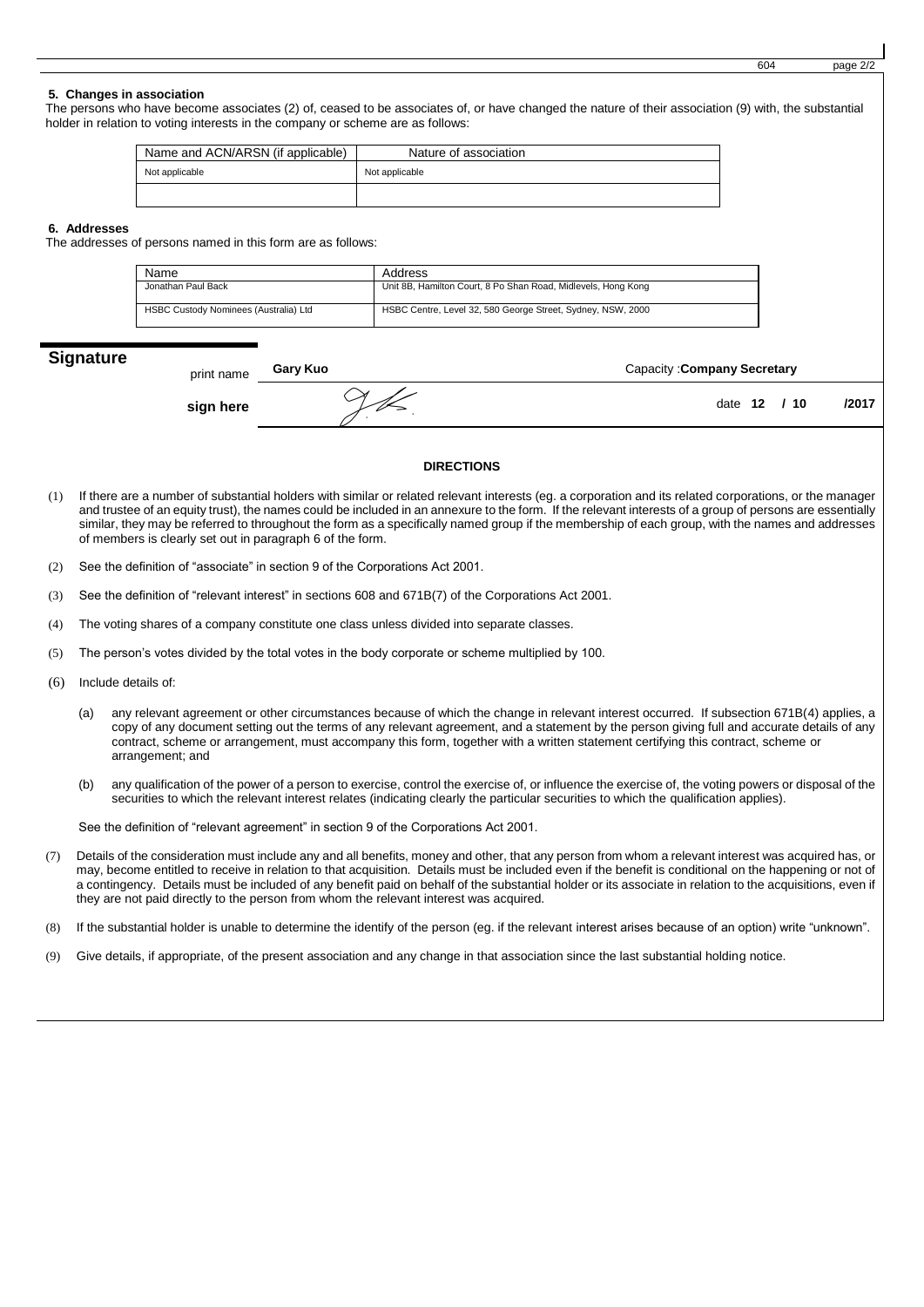|                           |                                                                                 |          |                |                                                                                                                                                                                                                                                                                                                                                                                                                                                                         |                                    | 604 |     | page 2/2 |
|---------------------------|---------------------------------------------------------------------------------|----------|----------------|-------------------------------------------------------------------------------------------------------------------------------------------------------------------------------------------------------------------------------------------------------------------------------------------------------------------------------------------------------------------------------------------------------------------------------------------------------------------------|------------------------------------|-----|-----|----------|
| 5. Changes in association | holder in relation to voting interests in the company or scheme are as follows: |          |                | The persons who have become associates (2) of, ceased to be associates of, or have changed the nature of their association (9) with, the substantial                                                                                                                                                                                                                                                                                                                    |                                    |     |     |          |
|                           | Name and ACN/ARSN (if applicable)                                               |          |                | Nature of association                                                                                                                                                                                                                                                                                                                                                                                                                                                   |                                    |     |     |          |
|                           | Not applicable                                                                  |          | Not applicable |                                                                                                                                                                                                                                                                                                                                                                                                                                                                         |                                    |     |     |          |
|                           |                                                                                 |          |                |                                                                                                                                                                                                                                                                                                                                                                                                                                                                         |                                    |     |     |          |
| 6. Addresses              | The addresses of persons named in this form are as follows:                     |          |                |                                                                                                                                                                                                                                                                                                                                                                                                                                                                         |                                    |     |     |          |
|                           | Name                                                                            |          | Address        |                                                                                                                                                                                                                                                                                                                                                                                                                                                                         |                                    |     |     |          |
|                           | Jonathan Paul Back                                                              |          |                | Unit 8B, Hamilton Court, 8 Po Shan Road, Midlevels, Hong Kong                                                                                                                                                                                                                                                                                                                                                                                                           |                                    |     |     |          |
|                           | HSBC Custody Nominees (Australia) Ltd                                           |          |                | HSBC Centre, Level 32, 580 George Street, Sydney, NSW, 2000                                                                                                                                                                                                                                                                                                                                                                                                             |                                    |     |     |          |
| <b>Signature</b>          | print name                                                                      | Gary Kuo |                |                                                                                                                                                                                                                                                                                                                                                                                                                                                                         | <b>Capacity: Company Secretary</b> |     |     |          |
|                           | sign here                                                                       |          |                |                                                                                                                                                                                                                                                                                                                                                                                                                                                                         | date $12$                          |     | /10 | /2017    |
|                           |                                                                                 |          |                | <b>DIRECTIONS</b>                                                                                                                                                                                                                                                                                                                                                                                                                                                       |                                    |     |     |          |
| (1)                       | of members is clearly set out in paragraph 6 of the form.                       |          |                | If there are a number of substantial holders with similar or related relevant interests (eg. a corporation and its related corporations, or the manager<br>and trustee of an equity trust), the names could be included in an annexure to the form. If the relevant interests of a group of persons are essentially<br>similar, they may be referred to throughout the form as a specifically named group if the membership of each group, with the names and addresses |                                    |     |     |          |

- (2) See the definition of "associate" in section 9 of the Corporations Act 2001.
- (3) See the definition of "relevant interest" in sections 608 and 671B(7) of the Corporations Act 2001.
- (4) The voting shares of a company constitute one class unless divided into separate classes.
- (5) The person's votes divided by the total votes in the body corporate or scheme multiplied by 100.
- (6) Include details of:
	- (a) any relevant agreement or other circumstances because of which the change in relevant interest occurred. If subsection 671B(4) applies, a copy of any document setting out the terms of any relevant agreement, and a statement by the person giving full and accurate details of any contract, scheme or arrangement, must accompany this form, together with a written statement certifying this contract, scheme or arrangement; and
	- (b) any qualification of the power of a person to exercise, control the exercise of, or influence the exercise of, the voting powers or disposal of the securities to which the relevant interest relates (indicating clearly the particular securities to which the qualification applies).

See the definition of "relevant agreement" in section 9 of the Corporations Act 2001.

- (7) Details of the consideration must include any and all benefits, money and other, that any person from whom a relevant interest was acquired has, or may, become entitled to receive in relation to that acquisition. Details must be included even if the benefit is conditional on the happening or not of a contingency. Details must be included of any benefit paid on behalf of the substantial holder or its associate in relation to the acquisitions, even if they are not paid directly to the person from whom the relevant interest was acquired.
- (8) If the substantial holder is unable to determine the identify of the person (eg. if the relevant interest arises because of an option) write "unknown".
- (9) Give details, if appropriate, of the present association and any change in that association since the last substantial holding notice.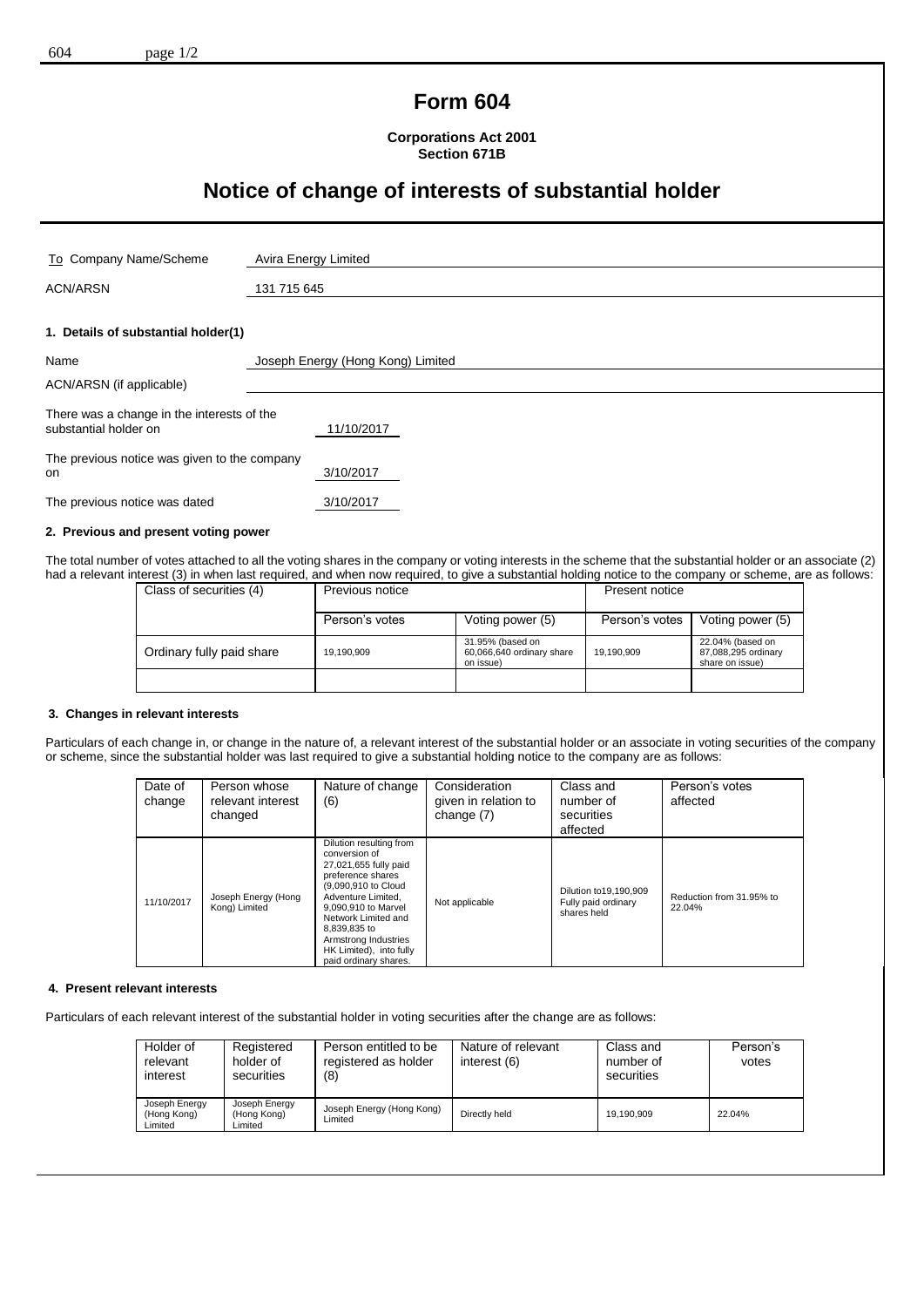## **Form 604**

**Corporations Act 2001 Section 671B**

# **Notice of change of interests of substantial holder**

| To Company Name/Scheme                                              | Avira Energy Limited              |
|---------------------------------------------------------------------|-----------------------------------|
| <b>ACN/ARSN</b>                                                     | 131 715 645                       |
| 1. Details of substantial holder(1)                                 |                                   |
| Name                                                                | Joseph Energy (Hong Kong) Limited |
| ACN/ARSN (if applicable)                                            |                                   |
| There was a change in the interests of the<br>substantial holder on | 11/10/2017                        |
| The previous notice was given to the company<br><b>on</b>           | 3/10/2017                         |
| The previous notice was dated                                       | 3/10/2017                         |
| 2. Drawiana and negaget vating naurar                               |                                   |

**2. Previous and present voting power**

The total number of votes attached to all the voting shares in the company or voting interests in the scheme that the substantial holder or an associate (2) had a relevant interest (3) in when last required, and when now required, to give a substantial holding notice to the company or scheme, are as follows:

| Class of securities (4)   | Previous notice |                                                            | Present notice |                                                            |
|---------------------------|-----------------|------------------------------------------------------------|----------------|------------------------------------------------------------|
|                           | Person's votes  | Voting power (5)                                           | Person's votes | Voting power (5)                                           |
| Ordinary fully paid share | 19,190,909      | 31.95% (based on<br>60,066,640 ordinary share<br>on issue) | 19,190,909     | 22.04% (based on<br>87,088,295 ordinary<br>share on issue) |
|                           |                 |                                                            |                |                                                            |

#### **3. Changes in relevant interests**

Particulars of each change in, or change in the nature of, a relevant interest of the substantial holder or an associate in voting securities of the company or scheme, since the substantial holder was last required to give a substantial holding notice to the company are as follows:

| Date of<br>change | Person whose<br>relevant interest<br>changed | Nature of change<br>(6)                                                                                                                                                                                                                                                       | Consideration<br>given in relation to<br>change (7) | Class and<br>number of<br>securities<br>affected               | Person's votes<br>affected         |
|-------------------|----------------------------------------------|-------------------------------------------------------------------------------------------------------------------------------------------------------------------------------------------------------------------------------------------------------------------------------|-----------------------------------------------------|----------------------------------------------------------------|------------------------------------|
| 11/10/2017        | Joseph Energy (Hong<br>Kong) Limited         | Dilution resulting from<br>conversion of<br>27,021,655 fully paid<br>preference shares<br>(9,090,910 to Cloud<br>Adventure Limited.<br>9.090.910 to Marvel<br>Network Limited and<br>8.839.835 to<br>Armstrong Industries<br>HK Limited), into fully<br>paid ordinary shares. | Not applicable                                      | Dilution to 19, 190, 909<br>Fully paid ordinary<br>shares held | Reduction from 31.95% to<br>22.04% |

#### **4. Present relevant interests**

Particulars of each relevant interest of the substantial holder in voting securities after the change are as follows:

| Holder of<br>relevant<br>interest       | Registered<br>holder of<br>securities   | Person entitled to be<br>registered as holder<br>(8) | Nature of relevant<br>interest (6) | Class and<br>number of<br>securities | Person's<br>votes |
|-----------------------------------------|-----------------------------------------|------------------------------------------------------|------------------------------------|--------------------------------------|-------------------|
| Joseph Energy<br>(Hong Kong)<br>Limited | Joseph Energy<br>(Hong Kong)<br>Limited | Joseph Energy (Hong Kong)<br>∟imited                 | Directly held                      | 19.190.909                           | 22.04%            |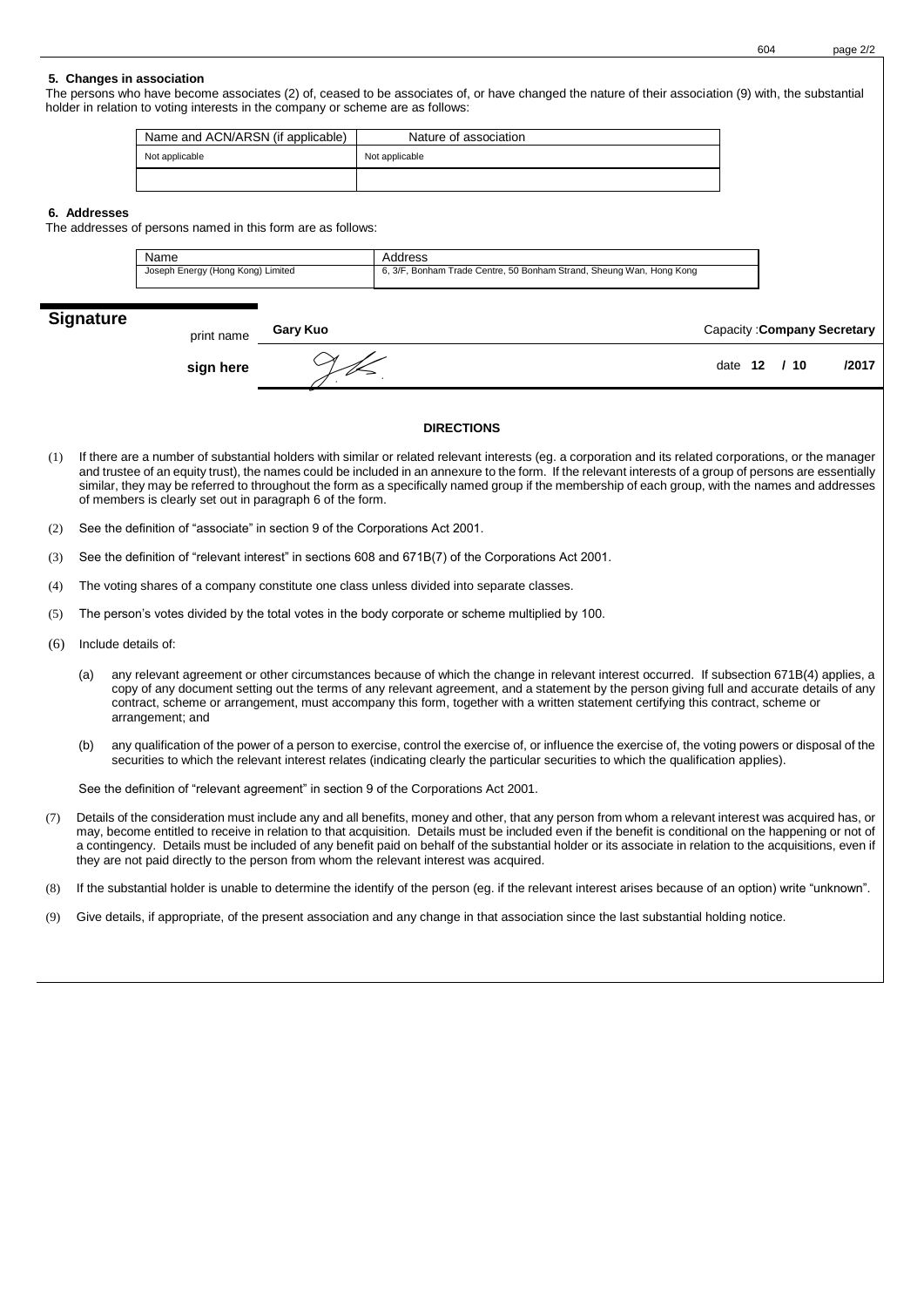The persons who have become associates (2) of, ceased to be associates of, or have changed the nature of their association (9) with, the substantial holder in relation to voting interests in the company or scheme are as follows:

| Name and ACN/ARSN (if applicable) | Nature of association |
|-----------------------------------|-----------------------|
| Not applicable                    | Not applicable        |
|                                   |                       |

#### **6. Addresses**

The addresses of persons named in this form are as follows:

| Name                              | Address                                                              |
|-----------------------------------|----------------------------------------------------------------------|
| Joseph Energy (Hong Kong) Limited | 6, 3/F, Bonham Trade Centre, 50 Bonham Strand, Sheung Wan, Hong Kong |

### **Signature**

| print name | <b>Gary Kuo</b> | Capacity: Company Secretary |
|------------|-----------------|-----------------------------|
| sign here  |                 | /2017<br>date $12 \t/10$    |

### **DIRECTIONS**

- (1) If there are a number of substantial holders with similar or related relevant interests (eg. a corporation and its related corporations, or the manager and trustee of an equity trust), the names could be included in an annexure to the form. If the relevant interests of a group of persons are essentially similar, they may be referred to throughout the form as a specifically named group if the membership of each group, with the names and addresses of members is clearly set out in paragraph 6 of the form.
- (2) See the definition of "associate" in section 9 of the Corporations Act 2001.
- (3) See the definition of "relevant interest" in sections 608 and 671B(7) of the Corporations Act 2001.
- (4) The voting shares of a company constitute one class unless divided into separate classes.
- (5) The person's votes divided by the total votes in the body corporate or scheme multiplied by 100.
- (6) Include details of:
	- (a) any relevant agreement or other circumstances because of which the change in relevant interest occurred. If subsection 671B(4) applies, a copy of any document setting out the terms of any relevant agreement, and a statement by the person giving full and accurate details of any contract, scheme or arrangement, must accompany this form, together with a written statement certifying this contract, scheme or arrangement; and
	- (b) any qualification of the power of a person to exercise, control the exercise of, or influence the exercise of, the voting powers or disposal of the securities to which the relevant interest relates (indicating clearly the particular securities to which the qualification applies).

See the definition of "relevant agreement" in section 9 of the Corporations Act 2001.

- (7) Details of the consideration must include any and all benefits, money and other, that any person from whom a relevant interest was acquired has, or may, become entitled to receive in relation to that acquisition. Details must be included even if the benefit is conditional on the happening or not of a contingency. Details must be included of any benefit paid on behalf of the substantial holder or its associate in relation to the acquisitions, even if they are not paid directly to the person from whom the relevant interest was acquired.
- (8) If the substantial holder is unable to determine the identify of the person (eg. if the relevant interest arises because of an option) write "unknown".
- (9) Give details, if appropriate, of the present association and any change in that association since the last substantial holding notice.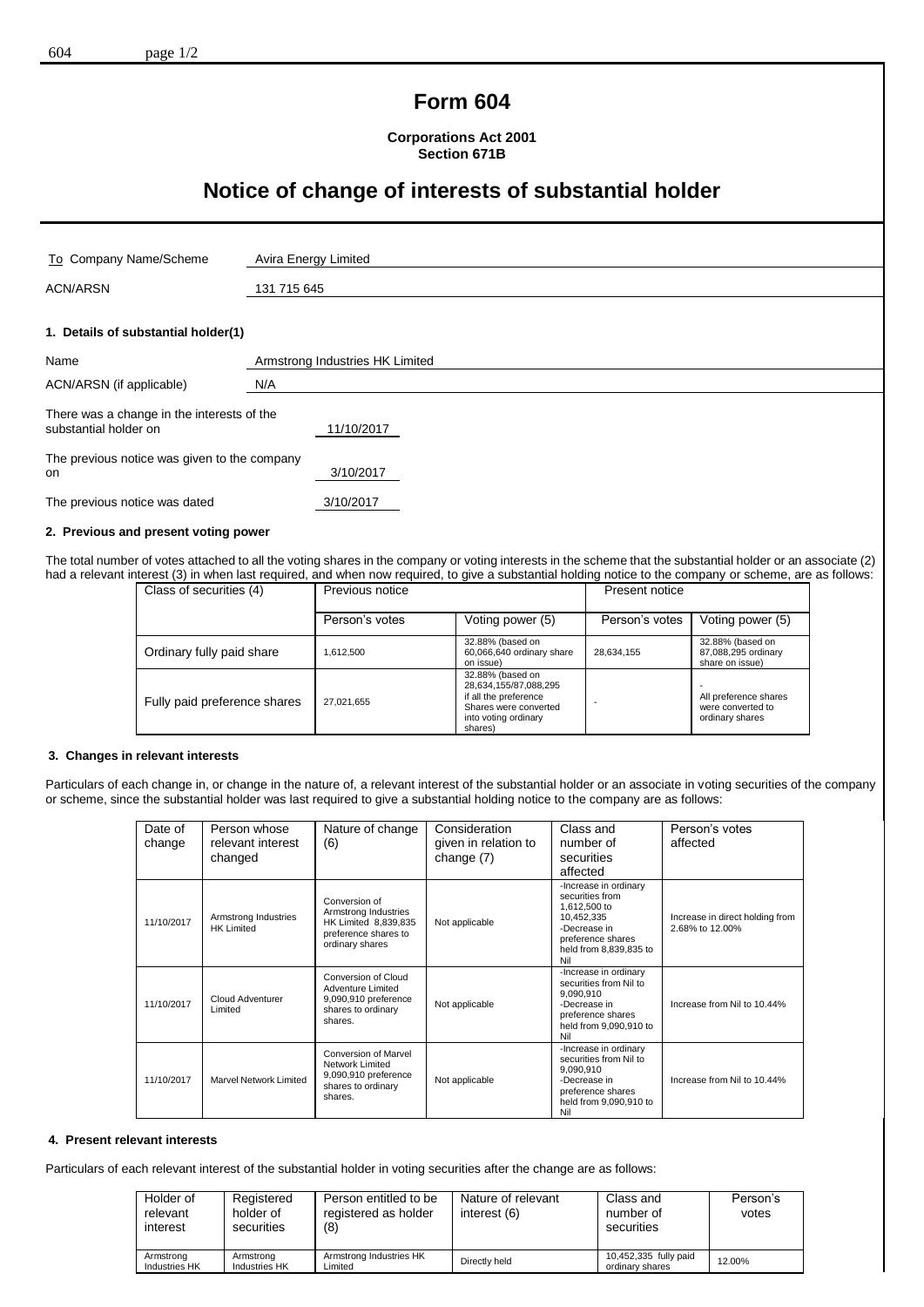## **Form 604**

**Corporations Act 2001 Section 671B**

# **Notice of change of interests of substantial holder**

| To Company Name/Scheme                                              | Avira Energy Limited            |  |
|---------------------------------------------------------------------|---------------------------------|--|
| <b>ACN/ARSN</b>                                                     | 131 715 645                     |  |
|                                                                     |                                 |  |
| 1. Details of substantial holder(1)                                 |                                 |  |
| Name                                                                | Armstrong Industries HK Limited |  |
| ACN/ARSN (if applicable)                                            | N/A                             |  |
| There was a change in the interests of the<br>substantial holder on | 11/10/2017                      |  |
| The previous notice was given to the company<br>on                  | 3/10/2017                       |  |
| The previous notice was dated                                       | 3/10/2017                       |  |

### **2. Previous and present voting power**

The total number of votes attached to all the voting shares in the company or voting interests in the scheme that the substantial holder or an associate (2) had a relevant interest (3) in when last required, and when now required, to give a substantial holding notice to the company or scheme, are as follows:

| Class of securities (4)      | Previous notice |                                                                                                                                | Present notice |                                                               |
|------------------------------|-----------------|--------------------------------------------------------------------------------------------------------------------------------|----------------|---------------------------------------------------------------|
|                              | Person's votes  | Voting power (5)                                                                                                               | Person's votes | Voting power (5)                                              |
| Ordinary fully paid share    | .612.500        | 32.88% (based on<br>60,066,640 ordinary share<br>on issue)                                                                     | 28,634,155     | 32.88% (based on<br>87,088,295 ordinary<br>share on issue)    |
| Fully paid preference shares | 27,021,655      | 32.88% (based on<br>28,634,155/87,088,295<br>if all the preference<br>Shares were converted<br>into voting ordinary<br>shares) |                | All preference shares<br>were converted to<br>ordinary shares |

#### **3. Changes in relevant interests**

Particulars of each change in, or change in the nature of, a relevant interest of the substantial holder or an associate in voting securities of the company or scheme, since the substantial holder was last required to give a substantial holding notice to the company are as follows:

| Date of<br>change | Person whose<br>relevant interest<br>changed | Nature of change<br>(6)                                                                                  | Consideration<br>given in relation to<br>change (7) | Class and<br>number of<br>securities<br>affected                                                                                             | Person's votes<br>affected                         |
|-------------------|----------------------------------------------|----------------------------------------------------------------------------------------------------------|-----------------------------------------------------|----------------------------------------------------------------------------------------------------------------------------------------------|----------------------------------------------------|
| 11/10/2017        | Armstrong Industries<br><b>HK Limited</b>    | Conversion of<br>Armstrong Industries<br>HK Limited 8,839,835<br>preference shares to<br>ordinary shares | Not applicable                                      | -Increase in ordinary<br>securities from<br>1,612,500 to<br>10,452,335<br>-Decrease in<br>preference shares<br>held from 8,839,835 to<br>Nil | Increase in direct holding from<br>2.68% to 12.00% |
| 11/10/2017        | Cloud Adventurer<br>Limited                  | Conversion of Cloud<br>Adventure Limited<br>9,090,910 preference<br>shares to ordinary<br>shares.        | Not applicable                                      | -Increase in ordinary<br>securities from Nil to<br>9,090,910<br>-Decrease in<br>preference shares<br>held from 9,090,910 to<br>Nil           | Increase from Nil to 10.44%                        |
| 11/10/2017        | Marvel Network Limited                       | <b>Conversion of Marvel</b><br>Network Limited<br>9,090,910 preference<br>shares to ordinary<br>shares.  | Not applicable                                      | -Increase in ordinary<br>securities from Nil to<br>9,090,910<br>-Decrease in<br>preference shares<br>held from 9,090,910 to<br>Nil           | Increase from Nil to 10.44%                        |

#### **4. Present relevant interests**

Particulars of each relevant interest of the substantial holder in voting securities after the change are as follows:

| Holder of<br>relevant<br>interest | Registered<br>holder of<br>securities | Person entitled to be<br>registered as holder<br>(8) | Nature of relevant<br>interest (6) | Class and<br>number of<br>securities     | Person's<br>votes |
|-----------------------------------|---------------------------------------|------------------------------------------------------|------------------------------------|------------------------------------------|-------------------|
| Armstrong<br>Industries HK        | Armstrona<br>Industries HK            | Armstrong Industries HK<br>Limited                   | Directly held                      | 10,452,335 fully paid<br>ordinary shares | 12.00%            |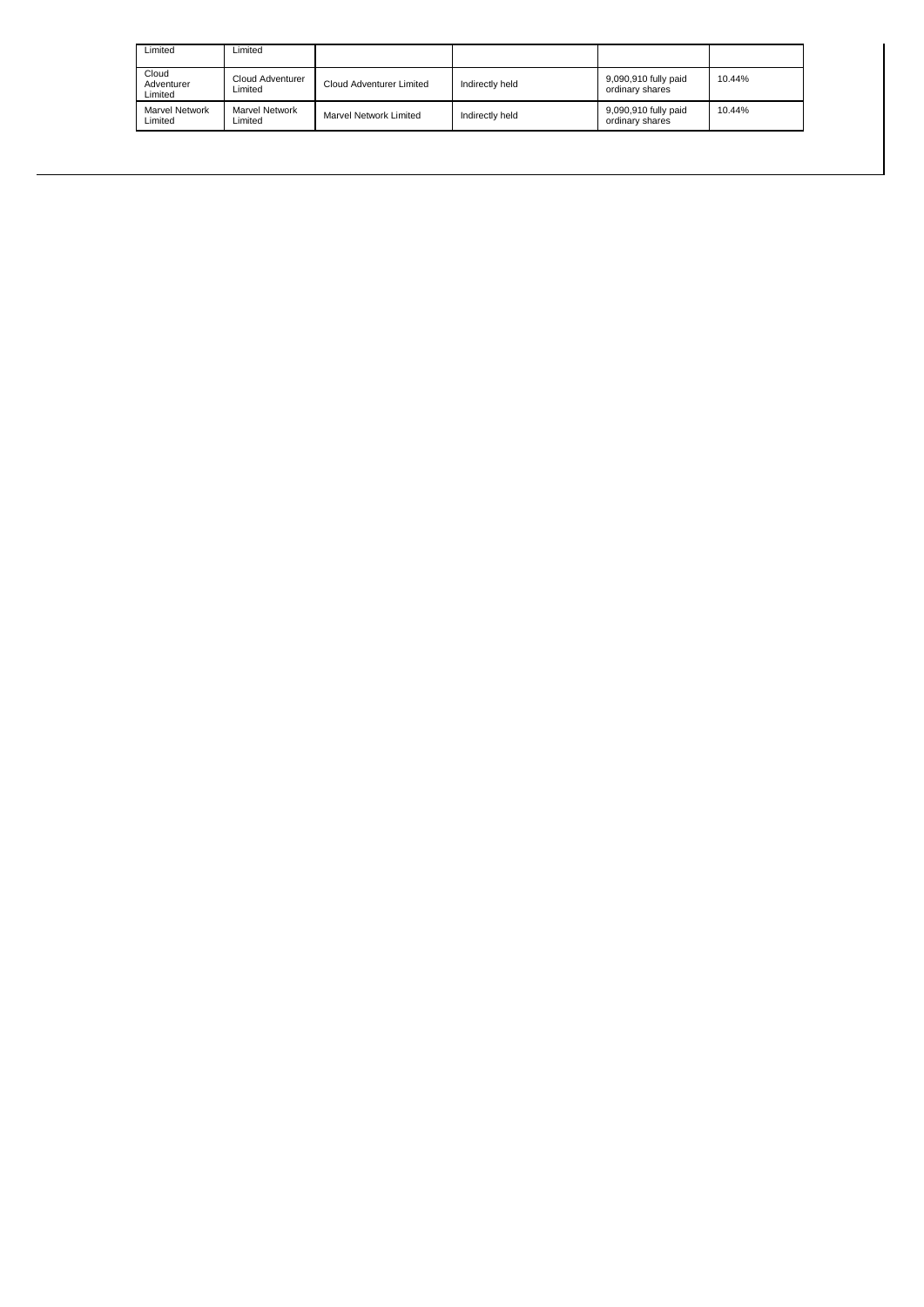| Limited                          | Limited                          |                          |                 |                                         |        |
|----------------------------------|----------------------------------|--------------------------|-----------------|-----------------------------------------|--------|
| Cloud<br>Adventurer<br>Limited   | Cloud Adventurer<br>Limited      | Cloud Adventurer Limited | Indirectly held | 9,090,910 fully paid<br>ordinary shares | 10.44% |
| <b>Marvel Network</b><br>Limited | <b>Marvel Network</b><br>Limited | Marvel Network Limited   | Indirectly held | 9,090,910 fully paid<br>ordinary shares | 10.44% |